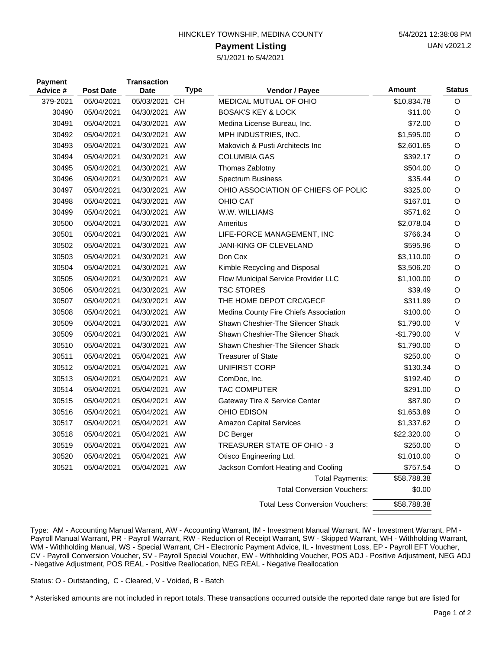| HINCKLEY TOWNSHIP, MEDINA COUNTY |  |
|----------------------------------|--|
|                                  |  |

## **Payment Listing**

5/1/2021 to 5/4/2021

| <b>Payment</b><br>Advice # | <b>Post Date</b> | <b>Transaction</b><br><b>Date</b> | <b>Type</b> | Vendor / Payee                         | <b>Amount</b> | <b>Status</b> |
|----------------------------|------------------|-----------------------------------|-------------|----------------------------------------|---------------|---------------|
| 379-2021                   | 05/04/2021       | 05/03/2021                        | <b>CH</b>   | MEDICAL MUTUAL OF OHIO                 | \$10,834.78   | O             |
| 30490                      | 05/04/2021       | 04/30/2021 AW                     |             | <b>BOSAK'S KEY &amp; LOCK</b>          | \$11.00       | O             |
| 30491                      | 05/04/2021       | 04/30/2021 AW                     |             | Medina License Bureau, Inc.            | \$72.00       | O             |
| 30492                      | 05/04/2021       | 04/30/2021 AW                     |             | MPH INDUSTRIES, INC.                   | \$1,595.00    | O             |
| 30493                      | 05/04/2021       | 04/30/2021 AW                     |             | Makovich & Pusti Architects Inc        | \$2,601.65    | O             |
| 30494                      | 05/04/2021       | 04/30/2021 AW                     |             | <b>COLUMBIA GAS</b>                    | \$392.17      | O             |
| 30495                      | 05/04/2021       | 04/30/2021 AW                     |             | Thomas Zablotny                        | \$504.00      | O             |
| 30496                      | 05/04/2021       | 04/30/2021 AW                     |             | <b>Spectrum Business</b>               | \$35.44       | O             |
| 30497                      | 05/04/2021       | 04/30/2021 AW                     |             | OHIO ASSOCIATION OF CHIEFS OF POLICI   | \$325.00      | O             |
| 30498                      | 05/04/2021       | 04/30/2021 AW                     |             | OHIO CAT                               | \$167.01      | O             |
| 30499                      | 05/04/2021       | 04/30/2021 AW                     |             | W.W. WILLIAMS                          | \$571.62      | O             |
| 30500                      | 05/04/2021       | 04/30/2021 AW                     |             | Ameritus                               | \$2,078.04    | O             |
| 30501                      | 05/04/2021       | 04/30/2021 AW                     |             | LIFE-FORCE MANAGEMENT, INC             | \$766.34      | O             |
| 30502                      | 05/04/2021       | 04/30/2021 AW                     |             | JANI-KING OF CLEVELAND                 | \$595.96      | O             |
| 30503                      | 05/04/2021       | 04/30/2021 AW                     |             | Don Cox                                | \$3,110.00    | O             |
| 30504                      | 05/04/2021       | 04/30/2021 AW                     |             | Kimble Recycling and Disposal          | \$3,506.20    | O             |
| 30505                      | 05/04/2021       | 04/30/2021 AW                     |             | Flow Municipal Service Provider LLC    | \$1,100.00    | O             |
| 30506                      | 05/04/2021       | 04/30/2021 AW                     |             | <b>TSC STORES</b>                      | \$39.49       | O             |
| 30507                      | 05/04/2021       | 04/30/2021 AW                     |             | THE HOME DEPOT CRC/GECF                | \$311.99      | O             |
| 30508                      | 05/04/2021       | 04/30/2021 AW                     |             | Medina County Fire Chiefs Association  | \$100.00      | O             |
| 30509                      | 05/04/2021       | 04/30/2021 AW                     |             | Shawn Cheshier-The Silencer Shack      | \$1,790.00    | V             |
| 30509                      | 05/04/2021       | 04/30/2021 AW                     |             | Shawn Cheshier-The Silencer Shack      | $-$1,790.00$  | V             |
| 30510                      | 05/04/2021       | 04/30/2021 AW                     |             | Shawn Cheshier-The Silencer Shack      | \$1,790.00    | O             |
| 30511                      | 05/04/2021       | 05/04/2021 AW                     |             | <b>Treasurer of State</b>              | \$250.00      | O             |
| 30512                      | 05/04/2021       | 05/04/2021 AW                     |             | <b>UNIFIRST CORP</b>                   | \$130.34      | O             |
| 30513                      | 05/04/2021       | 05/04/2021 AW                     |             | ComDoc, Inc.                           | \$192.40      | O             |
| 30514                      | 05/04/2021       | 05/04/2021 AW                     |             | <b>TAC COMPUTER</b>                    | \$291.00      | O             |
| 30515                      | 05/04/2021       | 05/04/2021 AW                     |             | Gateway Tire & Service Center          | \$87.90       | O             |
| 30516                      | 05/04/2021       | 05/04/2021 AW                     |             | OHIO EDISON                            | \$1,653.89    | O             |
| 30517                      | 05/04/2021       | 05/04/2021 AW                     |             | <b>Amazon Capital Services</b>         | \$1,337.62    | O             |
| 30518                      | 05/04/2021       | 05/04/2021 AW                     |             | DC Berger                              | \$22,320.00   | O             |
| 30519                      | 05/04/2021       | 05/04/2021 AW                     |             | TREASURER STATE OF OHIO - 3            | \$250.00      | O             |
| 30520                      | 05/04/2021       | 05/04/2021 AW                     |             | Otisco Engineering Ltd.                | \$1,010.00    | O             |
| 30521                      | 05/04/2021       | 05/04/2021 AW                     |             | Jackson Comfort Heating and Cooling    | \$757.54      | O             |
|                            |                  |                                   |             | <b>Total Payments:</b>                 | \$58,788.38   |               |
|                            |                  |                                   |             | <b>Total Conversion Vouchers:</b>      | \$0.00        |               |
|                            |                  |                                   |             | <b>Total Less Conversion Vouchers:</b> | \$58,788.38   |               |

Type: AM - Accounting Manual Warrant, AW - Accounting Warrant, IM - Investment Manual Warrant, IW - Investment Warrant, PM - Payroll Manual Warrant, PR - Payroll Warrant, RW - Reduction of Receipt Warrant, SW - Skipped Warrant, WH - Withholding Warrant, WM - Withholding Manual, WS - Special Warrant, CH - Electronic Payment Advice, IL - Investment Loss, EP - Payroll EFT Voucher, CV - Payroll Conversion Voucher, SV - Payroll Special Voucher, EW - Withholding Voucher, POS ADJ - Positive Adjustment, NEG ADJ - Negative Adjustment, POS REAL - Positive Reallocation, NEG REAL - Negative Reallocation

Status: O - Outstanding, C - Cleared, V - Voided, B - Batch

\* Asterisked amounts are not included in report totals. These transactions occurred outside the reported date range but are listed for